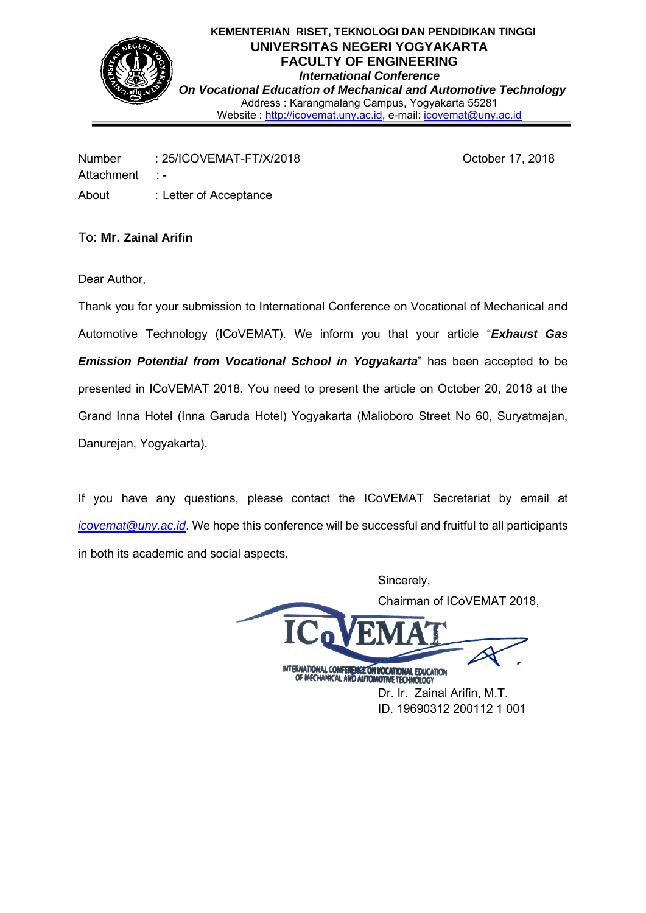

Number : 25/ICOVEMAT-FT/X/2018 October 17, 2018 Attachment : -About : Letter of Acceptance

# To: **Mr. Zainal Arifin**

Dear Author,

Thank you for your submission to International Conference on Vocational of Mechanical and Automotive Technology (ICoVEMAT). We inform you that your article "*Exhaust Gas Emission Potential from Vocational School in Yogyakarta*" has been accepted to be presented in ICoVEMAT 2018. You need to present the article on October 20, 2018 at the Grand Inna Hotel (Inna Garuda Hotel) Yogyakarta (Malioboro Street No 60, Suryatmajan, Danurejan, Yogyakarta).

If you have any questions, please contact the ICoVEMAT Secretariat by email at *[icovemat@uny.ac.id](mailto:icovemat@uny.ac.id)*. We hope this conference will be successful and fruitful to all participants in both its academic and social aspects.

Sincerely, Chairman of ICoVEMAT 2018, INTERNATIONAL CONFERENCE ON VOCATIONAL EDUCATION

Dr. Ir. Zainal Arifin, M.T. ID. 19690312 200112 1 001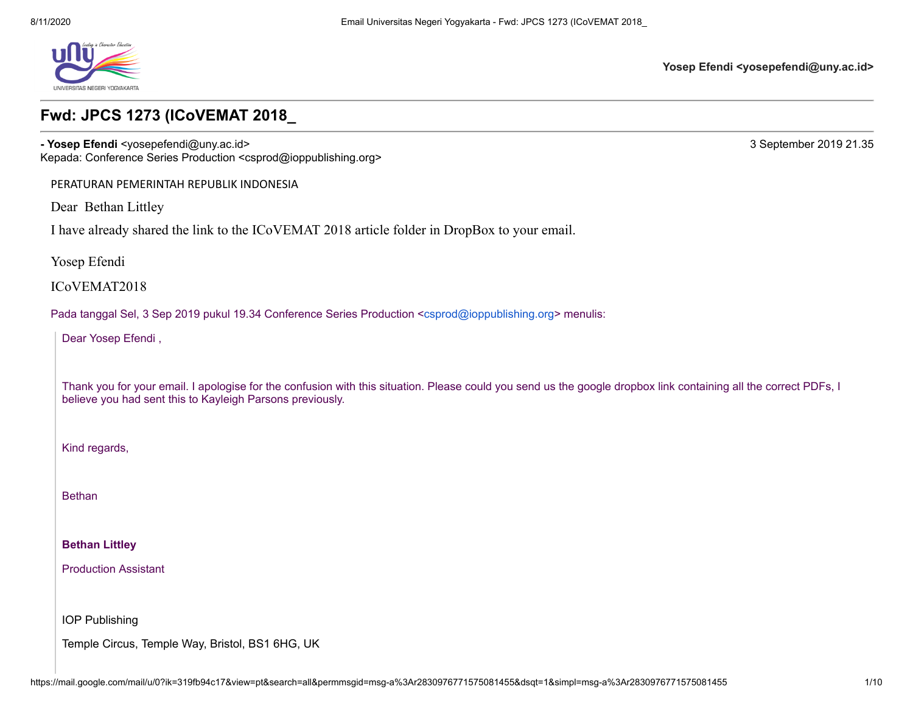

**Yosep Efendi <yosepefendi@uny.ac.id>**

# **Fwd: JPCS 1273 (ICoVEMAT 2018\_**

**- Yosep Efendi** <yosepefendi@uny.ac.id> 3 September 2019 21.35

Kepada: Conference Series Production <csprod@ioppublishing.org>

PERATURAN PEMERINTAH REPUBLIK INDONESIA

Dear Bethan Littley

I have already shared the link to the ICoVEMAT 2018 article folder in DropBox to your email.

Yosep Efendi

ICoVEMAT2018

Pada tanggal Sel, 3 Sep 2019 pukul 19.34 Conference Series Production <[csprod@ioppublishing.org](mailto:csprod@ioppublishing.org)> menulis:

Dear Yosep Efendi ,

Thank you for your email. I apologise for the confusion with this situation. Please could you send us the google dropbox link containing all the correct PDFs, I believe you had sent this to Kayleigh Parsons previously.

Kind regards,

Bethan

**Bethan Littley**

Production Assistant

IOP Publishing

Temple Circus, Temple Way, Bristol, BS1 6HG, UK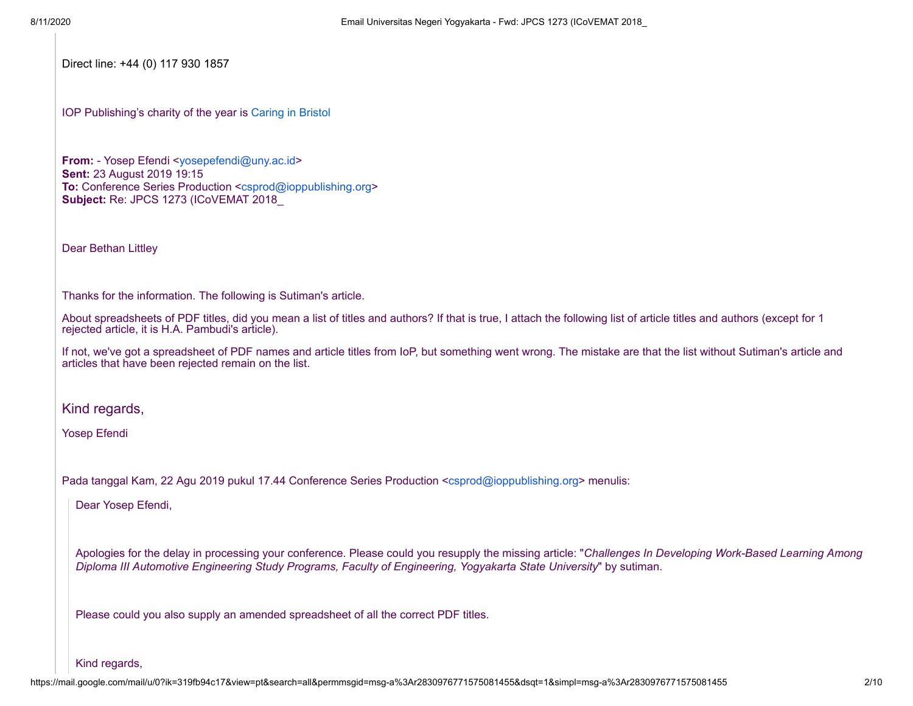Direct line: +44 (0) 117 930 1857

IOP Publishing's charity of the year is [Caring in Bristol](https://eur02.safelinks.protection.outlook.com/?url=https%3A%2F%2Fcaringinbristol.co.uk%2F&data=02%7C01%7Cbethan.littley%40ioppublishing.org%7Cbb0bc5e2d4bd40f88bbc08d6f629ee74%7Cf9ee42e6bad04e639115f704f9ccceed%7C0%7C0%7C636967057282019041&sdata=SF9anz%2FLMkEVb1R2O6V68lBA%2FmTldWsn5feWCZDqOSY%3D&reserved=0)

**From:** - Yosep Efendi <[yosepefendi@uny.ac.id](mailto:yosepefendi@uny.ac.id)> **Sent:** 23 August 2019 19:15 **To:** Conference Series Production <[csprod@ioppublishing.org](mailto:csprod@ioppublishing.org)> **Subject:** Re: JPCS 1273 (ICoVEMAT 2018\_

Dear Bethan Littley

Thanks for the information. The following is Sutiman's article.

About spreadsheets of PDF titles, did you mean a list of titles and authors? If that is true, I attach the following list of article titles and authors (except for 1 rejected article, it is H.A. Pambudi's article).

If not, we've got a spreadsheet of PDF names and article titles from IoP, but something went wrong. The mistake are that the list without Sutiman's article and articles that have been rejected remain on the list.

Kind regards,

Yosep Efendi

Pada tanggal Kam, 22 Agu 2019 pukul 17.44 Conference Series Production <[csprod@ioppublishing.org>](mailto:csprod@ioppublishing.org) menulis:

Dear Yosep Efendi,

Apologies for the delay in processing your conference. Please could you resupply the missing article: "*Challenges In Developing Work-Based Learning Among Diploma III Automotive Engineering Study Programs, Faculty of Engineering, Yogyakarta State University*" by sutiman.

Please could you also supply an amended spreadsheet of all the correct PDF titles.

Kind regards,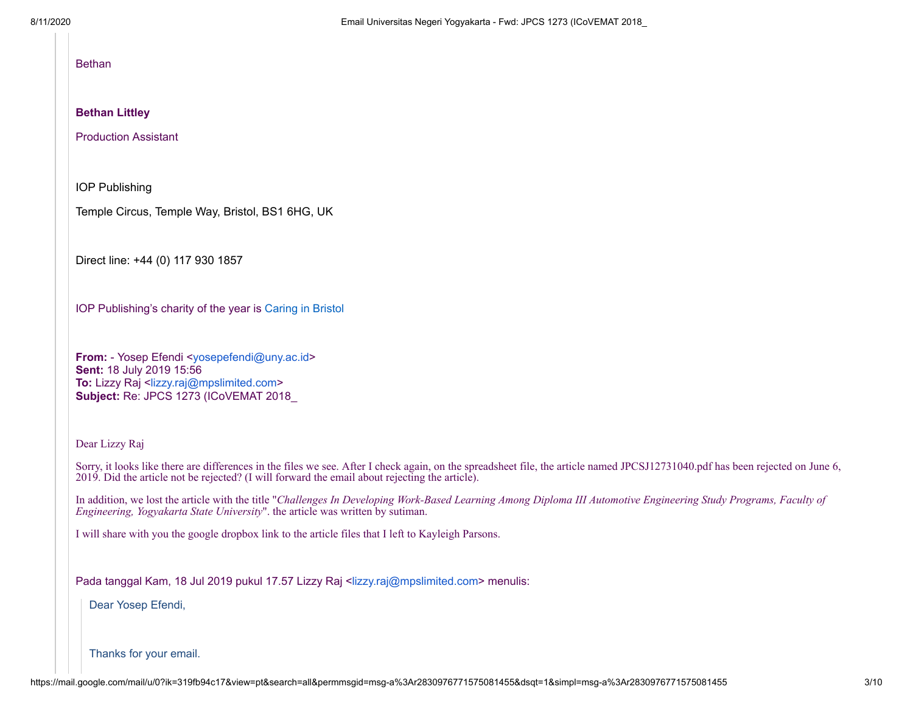#### Bethan

#### **Bethan Littley**

Production Assistant

IOP Publishing

Temple Circus, Temple Way, Bristol, BS1 6HG, UK

Direct line: +44 (0) 117 930 1857

IOP Publishing's charity of the year is [Caring in Bristol](https://eur02.safelinks.protection.outlook.com/?url=https%3A%2F%2Fcaringinbristol.co.uk%2F&data=02%7C01%7Ccsprod%40ioppublishing.org%7Cc0a2890815ea4a1b60dc08d727f5d264%7Cf9ee42e6bad04e639115f704f9ccceed%7C0%7C0%7C637021809067383315&sdata=8aKaiDk0CJh9d%2FrZ9zKR3gS67qgMimlsAqcyKIqYM9M%3D&reserved=0)

**From:** - Yosep Efendi <[yosepefendi@uny.ac.id](mailto:yosepefendi@uny.ac.id)> **Sent:** 18 July 2019 15:56 **To:** Lizzy Raj <[lizzy.raj@mpslimited.com](mailto:lizzy.raj@mpslimited.com)> **Subject:** Re: JPCS 1273 (ICoVEMAT 2018\_

Dear Lizzy Raj

Sorry, it looks like there are differences in the files we see. After I check again, on the spreadsheet file, the article named JPCSJ12731040.pdf has been rejected on June 6, 2019. Did the article not be rejected? (I will forward the email about rejecting the article).

In addition, we lost the article with the title "*Challenges In Developing Work-Based Learning Among Diploma III Automotive Engineering Study Programs, Faculty of Engineering, Yogyakarta State University*". the article was written by sutiman.

I will share with you the google dropbox link to the article files that I left to Kayleigh Parsons.

Pada tanggal Kam, 18 Jul 2019 pukul 17.57 Lizzy Raj <[lizzy.raj@mpslimited.com](mailto:lizzy.raj@mpslimited.com)> menulis:

Dear Yosep Efendi,

Thanks for your email.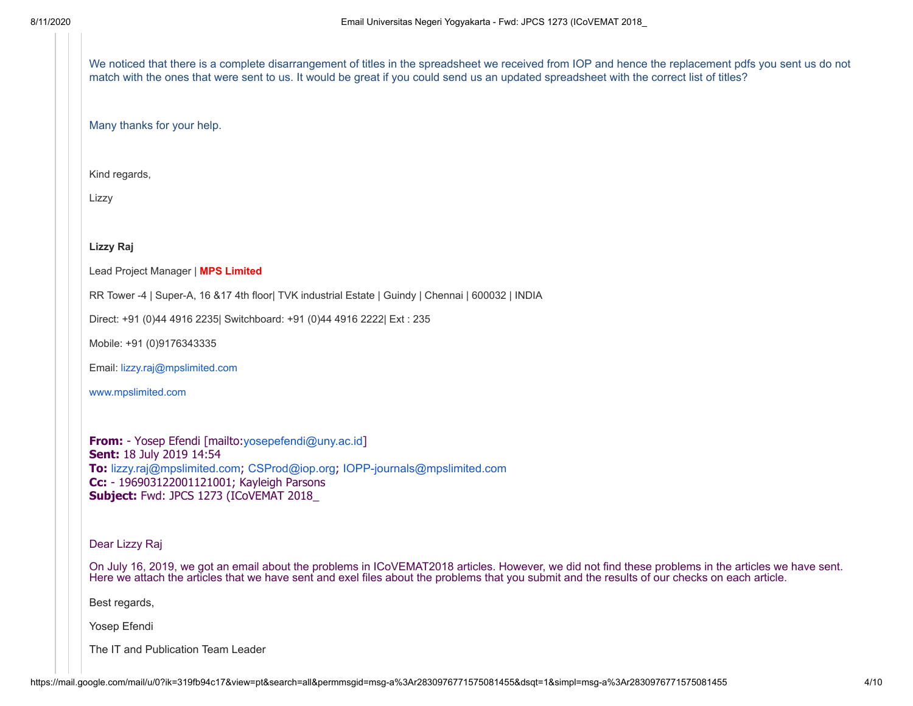| 8/11/2020 | Email Universitas Negeri Yogyakarta - Fwd: JPCS 1273 (ICoVEMAT 2018_                                                                                                                                                                                                                               |
|-----------|----------------------------------------------------------------------------------------------------------------------------------------------------------------------------------------------------------------------------------------------------------------------------------------------------|
|           | We noticed that there is a complete disarrangement of titles in the spreadsheet we received from IOP and hence the replacement pdfs you sent us do not<br>match with the ones that were sent to us. It would be great if you could send us an updated spreadsheet with the correct list of titles? |
|           | Many thanks for your help.                                                                                                                                                                                                                                                                         |
|           | Kind regards,                                                                                                                                                                                                                                                                                      |
|           | Lizzy                                                                                                                                                                                                                                                                                              |
|           | Lizzy Raj                                                                                                                                                                                                                                                                                          |
|           | Lead Project Manager   MPS Limited                                                                                                                                                                                                                                                                 |
|           | RR Tower -4   Super-A, 16 & 17 4th floor  TVK industrial Estate   Guindy   Chennai   600032   INDIA                                                                                                                                                                                                |
|           | Direct: +91 (0)44 4916 2235  Switchboard: +91 (0)44 4916 2222  Ext: 235                                                                                                                                                                                                                            |
|           | Mobile: +91 (0)9176343335                                                                                                                                                                                                                                                                          |
|           | Email: lizzy.raj@mpslimited.com                                                                                                                                                                                                                                                                    |
|           | www.mpslimited.com                                                                                                                                                                                                                                                                                 |

**Sent:** 18 July 2019 14:54 **To:** [lizzy.raj@mpslimited.com](mailto:lizzy.raj@mpslimited.com); [CSProd@iop.org](mailto:CSProd@iop.org); [IOPP-journals@mpslimited.com](mailto:IOPP-journals@mpslimited.com) **Cc:** - 196903122001121001; Kayleigh Parsons **Subject:** Fwd: JPCS 1273 (ICoVEMAT 2018\_

Dear Lizzy Raj

On July 16, 2019, we got an email about the problems in ICoVEMAT2018 articles. However, we did not find these problems in the articles we have sent. Here we attach the articles that we have sent and exel files about the problems that you submit and the results of our checks on each article.

Best regards,

Yosep Efendi

The IT and Publication Team Leader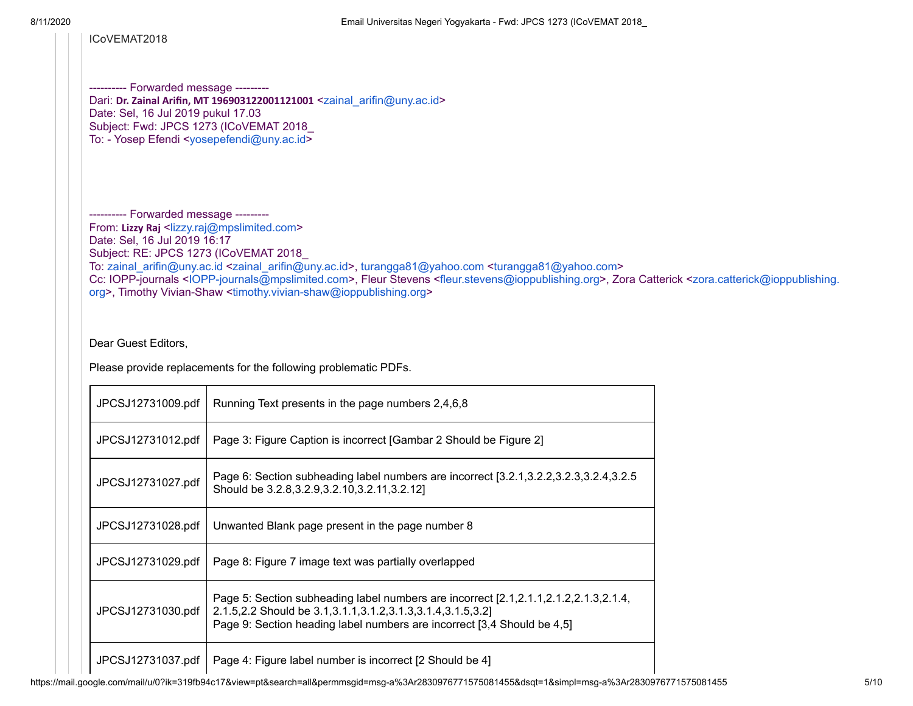ICoVEMAT2018

---------- Forwarded message -------- Dari: Dr. Zainal Arifin, MT 196903122001121001 <[zainal\\_arifin@uny.ac.id>](mailto:zainal_arifin@uny.ac.id) Date: Sel, 16 Jul 2019 pukul 17.03 Subject: Fwd: JPCS 1273 (ICoVEMAT 2018\_ To: - Yosep Efendi <[yosepefendi@uny.ac.id](mailto:yosepefendi@uny.ac.id)>

---------- Forwarded message -------- From: Lizzy Raj <[lizzy.raj@mpslimited.com](mailto:lizzy.raj@mpslimited.com)> Date: Sel, 16 Jul 2019 16:17 Subject: RE: JPCS 1273 (ICoVEMAT 2018\_ To: [zainal\\_arifin@uny.ac.id](mailto:zainal_arifin@uny.ac.id) <[zainal\\_arifin@uny.ac.id>](mailto:zainal_arifin@uny.ac.id), [turangga81@yahoo.com](mailto:turangga81@yahoo.com) <[turangga81@yahoo.com](mailto:turangga81@yahoo.com)> [Cc: IOPP-journals <I](mailto:zora.catterick@ioppublishing.org)[OPP-journals@mpslimited.co](mailto:IOPP-journals@mpslimited.com)[m>, Fleur Stevens <f](mailto:zora.catterick@ioppublishing.org)[leur.stevens@ioppublishing.or](mailto:fleur.stevens@ioppublishing.org)[g>, Zora Catterick <zora.catterick@ioppublishing.](mailto:zora.catterick@ioppublishing.org) org>, Timothy Vivian-Shaw <[timothy.vivian-shaw@ioppublishing.org>](mailto:timothy.vivian-shaw@ioppublishing.org)

Dear Guest Editors,

Please provide replacements for the following problematic PDFs.

| JPCSJ12731009.pdf | Running Text presents in the page numbers 2,4,6,8                                                                                                                                                                                          |
|-------------------|--------------------------------------------------------------------------------------------------------------------------------------------------------------------------------------------------------------------------------------------|
| JPCSJ12731012.pdf | Page 3: Figure Caption is incorrect [Gambar 2 Should be Figure 2]                                                                                                                                                                          |
| JPCSJ12731027.pdf | Page 6: Section subheading label numbers are incorrect [3.2.1,3.2.2,3.2.3,3.2.4,3.2.5]<br>Should be 3.2.8, 3.2.9, 3.2. 10, 3.2. 11, 3.2. 12]                                                                                               |
| JPCSJ12731028.pdf | Unwanted Blank page present in the page number 8                                                                                                                                                                                           |
| JPCSJ12731029.pdf | Page 8: Figure 7 image text was partially overlapped                                                                                                                                                                                       |
| JPCSJ12731030.pdf | Page 5: Section subheading label numbers are incorrect [2.1,2.1.1,2.1.2,2.1.3,2.1.4,<br>2.1.5, 2.2 Should be 3.1, 3.1. 1, 3.1. 2, 3.1. 3, 3.1. 4, 3.1. 5, 3. 2]<br>Page 9: Section heading label numbers are incorrect [3,4 Should be 4,5] |
| JPCSJ12731037.pdf | Page 4: Figure label number is incorrect [2 Should be 4]                                                                                                                                                                                   |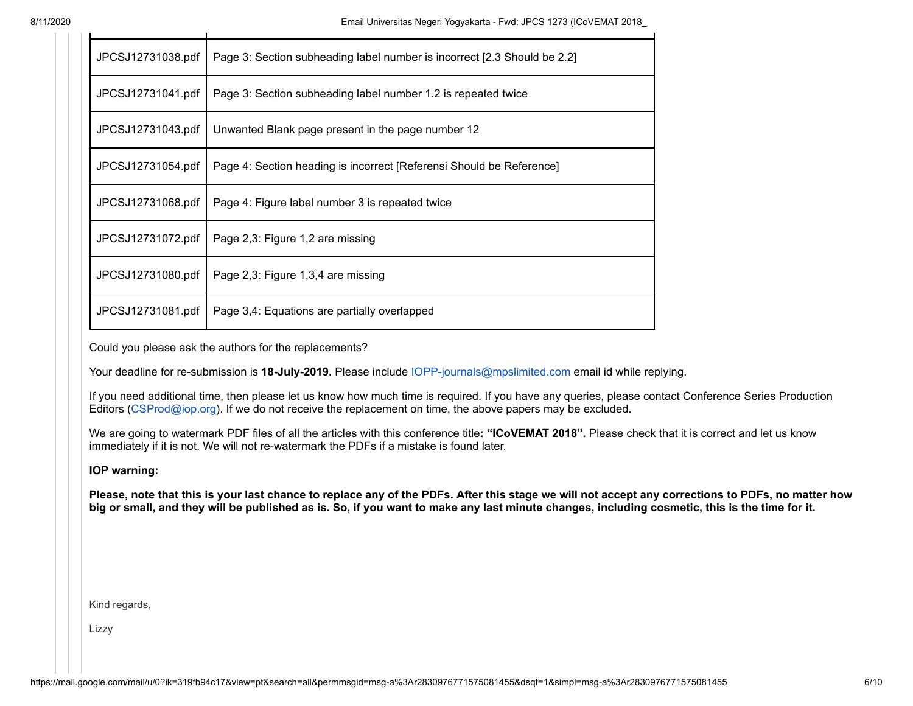| JPCSJ12731038.pdf | Page 3: Section subheading label number is incorrect [2.3 Should be 2.2] |
|-------------------|--------------------------------------------------------------------------|
| JPCSJ12731041.pdf | Page 3: Section subheading label number 1.2 is repeated twice            |
| JPCSJ12731043.pdf | Unwanted Blank page present in the page number 12                        |
| JPCSJ12731054.pdf | Page 4: Section heading is incorrect [Referensi Should be Reference]     |
| JPCSJ12731068.pdf | Page 4: Figure label number 3 is repeated twice                          |
| JPCSJ12731072.pdf | Page 2,3: Figure 1,2 are missing                                         |
| JPCSJ12731080.pdf | Page 2,3: Figure 1,3,4 are missing                                       |
| JPCSJ12731081.pdf | Page 3,4: Equations are partially overlapped                             |

Could you please ask the authors for the replacements?

 $\mathbf{I}$ 

Your deadline for re-submission is **18-July-2019.** Please include [IOPP-journals@mpslimited.com](mailto:IOPP-journals@mpslimited.com) email id while replying.

If you need additional time, then please let us know how much time is required. If you have any queries, please contact Conference Series Production Editors ([CSProd@iop.org](mailto:CSProd@iop.org)). If we do not receive the replacement on time, the above papers may be excluded.

We are going to watermark PDF files of all the articles with this conference title: "ICoVEMAT 2018". Please check that it is correct and let us know immediately if it is not. We will not re-watermark the PDFs if a mistake is found later.

**IOP warning:** 

**Please, note that this is your last chance to replace any of the PDFs. After this stage we will not accept any corrections to PDFs, no matter how big or small, and they will be published as is. So, if you want to make any last minute changes, including cosmetic, this is the time for it.**

Kind regards,

Lizzy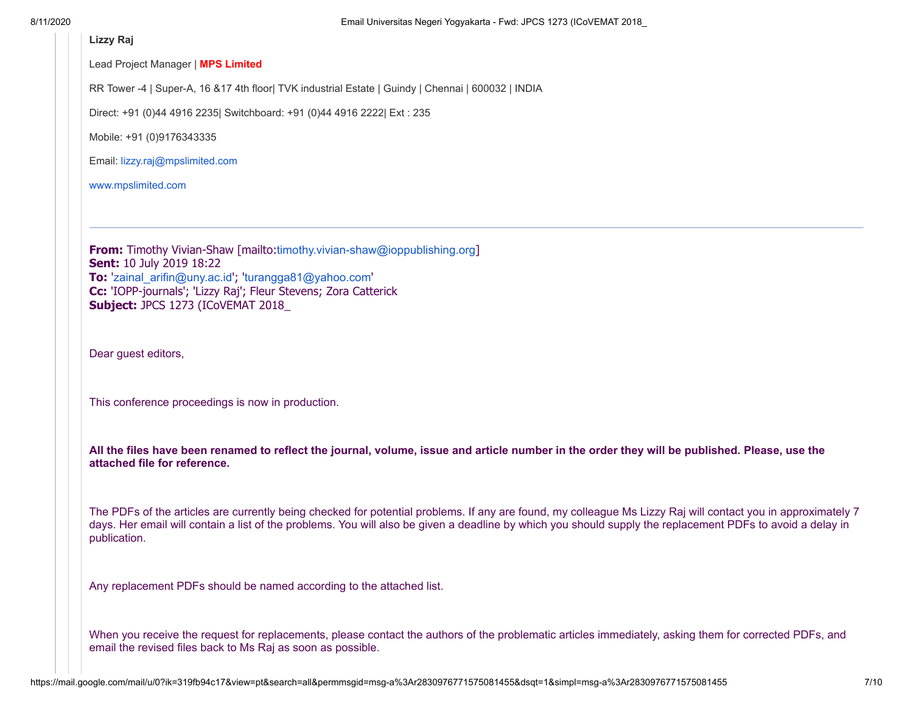#### **Lizzy Raj**

Lead Project Manager | **MPS Limited**

RR Tower -4 | Super-A, 16 &17 4th floor| TVK industrial Estate | Guindy | Chennai | 600032 | INDIA

Direct: +91 (0)44 4916 2235| Switchboard: +91 (0)44 4916 2222| Ext : 235

Mobile: +91 (0)9176343335

Email: [lizzy.raj@mpslimited.com](mailto:lizzy.raj@mpslimited.com)

[www.mpslimited.com](https://eur02.safelinks.protection.outlook.com/?url=http%3A%2F%2Fwww.mpslimited.com%2F&data=02%7C01%7Ccsprod%40ioppublishing.org%7Cc0a2890815ea4a1b60dc08d727f5d264%7Cf9ee42e6bad04e639115f704f9ccceed%7C0%7C0%7C637021809067393308&sdata=%2FSsQy%2BJa3HfiqAZPMWcMovAS1E882GrQdfCPIg4AGCs%3D&reserved=0)

**From:** Timothy Vivian-Shaw [mailto:[timothy.vivian-shaw@ioppublishing.org](mailto:timothy.vivian-shaw@ioppublishing.org)] **Sent:** 10 July 2019 18:22 **To:** '[zainal\\_arifin@uny.ac.id](mailto:zainal_arifin@uny.ac.id)'; '[turangga81@yahoo.com](mailto:turangga81@yahoo.com)' **Cc:** 'IOPP-journals'; 'Lizzy Raj'; Fleur Stevens; Zora Catterick **Subject:** JPCS 1273 (ICoVEMAT 2018\_

Dear guest editors,

This conference proceedings is now in production.

**All the files have been renamed to reflect the journal, volume, issue and article number in the order they will be published. Please, use the attached file for reference.**

The PDFs of the articles are currently being checked for potential problems. If any are found, my colleague Ms Lizzy Raj will contact you in approximately 7 days. Her email will contain a list of the problems. You will also be given a deadline by which you should supply the replacement PDFs to avoid a delay in publication.

Any replacement PDFs should be named according to the attached list.

When you receive the request for replacements, please contact the authors of the problematic articles immediately, asking them for corrected PDFs, and email the revised files back to Ms Raj as soon as possible.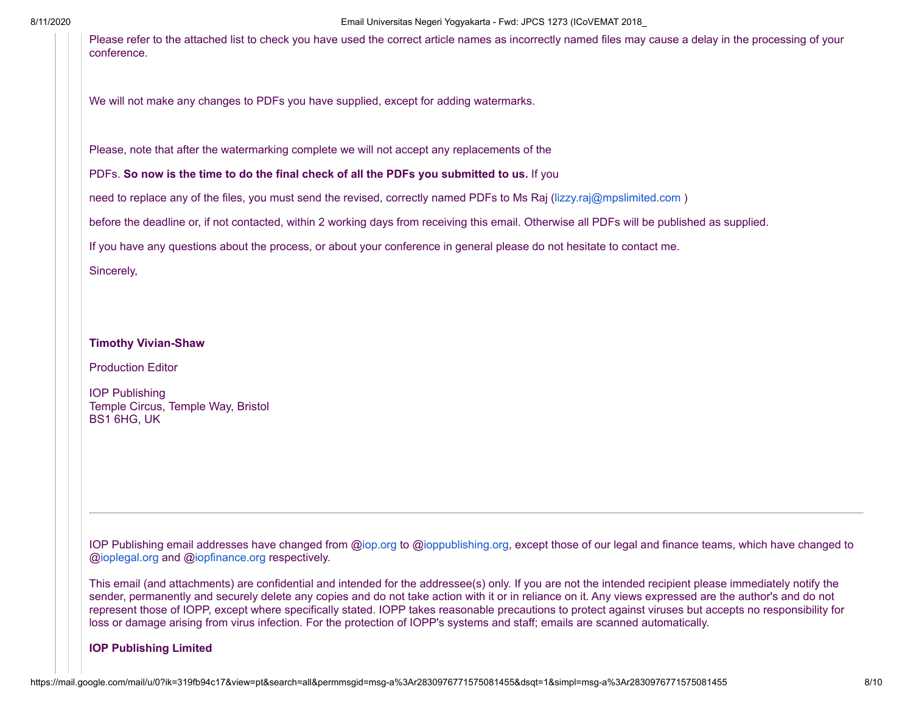8/11/2020 Email Universitas Negeri Yogyakarta - Fwd: JPCS 1273 (ICoVEMAT 2018\_

Please refer to the attached list to check you have used the correct article names as incorrectly named files may cause a delay in the processing of your conference.

We will not make any changes to PDFs you have supplied, except for adding watermarks.

Please, note that after the watermarking complete we will not accept any replacements of the

PDFs. **So now is the time to do the final check of all the PDFs you submitted to us.** If you

need to replace any of the files, you must send the revised, correctly named PDFs to Ms Raj (lizzy.raj@mpslimited.com)

before the deadline or, if not contacted, within 2 working days from receiving this email. Otherwise all PDFs will be published as supplied.

If you have any questions about the process, or about your conference in general please do not hesitate to contact me.

Sincerely,

## **Timothy Vivian-Shaw**

Production Editor

IOP Publishing Temple Circus, Temple Way, Bristol BS1 6HG, UK

IOP Publishing email addresses have changed from @[iop.org](https://eur02.safelinks.protection.outlook.com/?url=http%3A%2F%2Fiop.org&data=02%7C01%7Ccsprod%40ioppublishing.org%7Cc0a2890815ea4a1b60dc08d727f5d264%7Cf9ee42e6bad04e639115f704f9ccceed%7C0%7C0%7C637021809067393308&sdata=QTMGjKwRDRLC2Tn2oUg2EGVIDIvSjhf9W%2F9WbtT7Ma8%3D&reserved=0) to @[ioppublishing.org,](https://eur02.safelinks.protection.outlook.com/?url=http%3A%2F%2Fioppublishing.org&data=02%7C01%7Ccsprod%40ioppublishing.org%7Cc0a2890815ea4a1b60dc08d727f5d264%7Cf9ee42e6bad04e639115f704f9ccceed%7C0%7C0%7C637021809067403300&sdata=Darb7lTxDSTXWp9oA%2B1Fvy00H1yTxD62OixR%2F1nQcL8%3D&reserved=0) except those of our legal and finance teams, which have changed to @[ioplegal.org](https://eur02.safelinks.protection.outlook.com/?url=http%3A%2F%2Fioplegal.org&data=02%7C01%7Ccsprod%40ioppublishing.org%7Cc0a2890815ea4a1b60dc08d727f5d264%7Cf9ee42e6bad04e639115f704f9ccceed%7C0%7C0%7C637021809067403300&sdata=H9U3wsM4mw8Bft%2BKDh8Jb3JT8vLFFF4%2Be9LOKQaX3D4%3D&reserved=0) and [@iopfinance.org](https://eur02.safelinks.protection.outlook.com/?url=http%3A%2F%2Fiopfinance.org&data=02%7C01%7Ccsprod%40ioppublishing.org%7Cc0a2890815ea4a1b60dc08d727f5d264%7Cf9ee42e6bad04e639115f704f9ccceed%7C0%7C0%7C637021809067403300&sdata=ya8g%2BMIpoFjtigVjyAbdPMk23n97ZNcIU2R5wJxPnDw%3D&reserved=0) respectively.

This email (and attachments) are confidential and intended for the addressee(s) only. If you are not the intended recipient please immediately notify the sender, permanently and securely delete any copies and do not take action with it or in reliance on it. Any views expressed are the author's and do not represent those of IOPP, except where specifically stated. IOPP takes reasonable precautions to protect against viruses but accepts no responsibility for loss or damage arising from virus infection. For the protection of IOPP's systems and staff; emails are scanned automatically.

### **IOP Publishing Limited**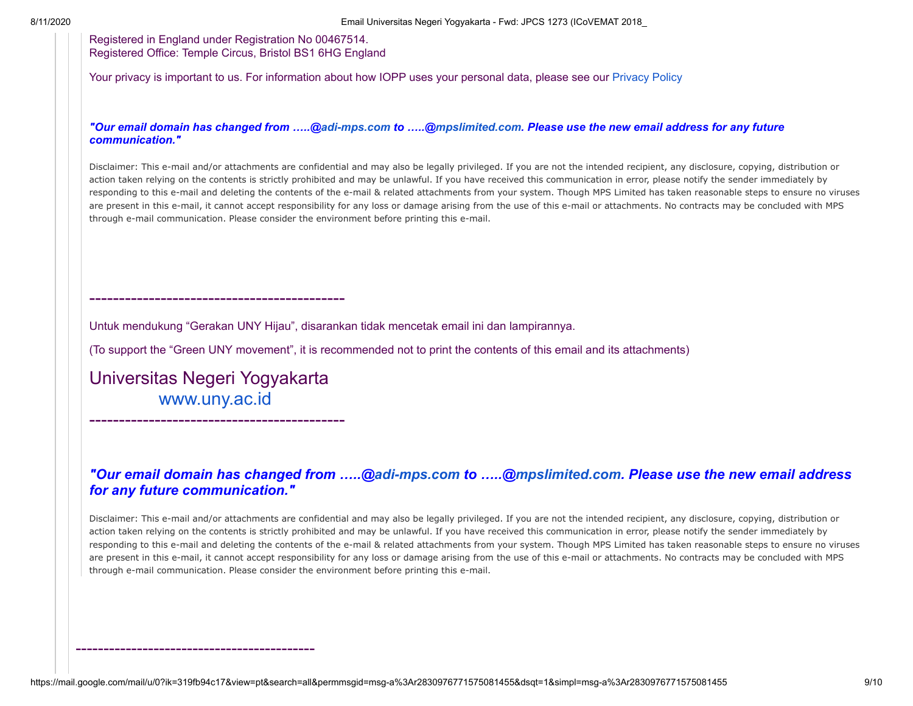Registered in England under Registration No 00467514. Registered Office: Temple Circus, Bristol BS1 6HG England

Your privacy is important to us. For information about how IOPP uses your personal data, please see our [Privacy Policy](https://eur02.safelinks.protection.outlook.com/?url=http%3A%2F%2Fioppublishing.org%2Fprivacy-cookies-policy%2F&data=02%7C01%7Ccsprod%40ioppublishing.org%7Cc0a2890815ea4a1b60dc08d727f5d264%7Cf9ee42e6bad04e639115f704f9ccceed%7C0%7C0%7C637021809067413296&sdata=hN8qIld90XACVQSs%2BKtfRUUybSzsoLuzCSAb5yoHtUA%3D&reserved=0)

*"Our email domain has changed from …..@[adi-mps.com](https://eur02.safelinks.protection.outlook.com/?url=http%3A%2F%2Fadi-mps.com&data=02%7C01%7Ccsprod%40ioppublishing.org%7Cc0a2890815ea4a1b60dc08d727f5d264%7Cf9ee42e6bad04e639115f704f9ccceed%7C0%7C0%7C637021809067413296&sdata=iRL8UdAeEFgPniPusQ6noBbJtGeHNt8J1BZ8mjedk7Q%3D&reserved=0) to …..@[mpslimited.com](https://eur02.safelinks.protection.outlook.com/?url=http%3A%2F%2Fmpslimited.com&data=02%7C01%7Ccsprod%40ioppublishing.org%7Cc0a2890815ea4a1b60dc08d727f5d264%7Cf9ee42e6bad04e639115f704f9ccceed%7C0%7C0%7C637021809067423295&sdata=5HOABzqvBAjrzjvfoqrTFWo2hdL2pE89gV7NAndrbsA%3D&reserved=0). Please use the new email address for any future communication."* 

Disclaimer: This e-mail and/or attachments are confidential and may also be legally privileged. If you are not the intended recipient, any disclosure, copying, distribution or action taken relying on the contents is strictly prohibited and may be unlawful. If you have received this communication in error, please notify the sender immediately by responding to this e-mail and deleting the contents of the e-mail & related attachments from your system. Though MPS Limited has taken reasonable steps to ensure no viruses are present in this e-mail, it cannot accept responsibility for any loss or damage arising from the use of this e-mail or attachments. No contracts may be concluded with MPS through e-mail communication. Please consider the environment before printing this e-mail.

Untuk mendukung "Gerakan UNY Hijau", disarankan tidak mencetak email ini dan lampirannya.

(To support the "Green UNY movement", it is recommended not to print the contents of this email and its attachments)

Universitas Negeri Yogyakarta [www.uny.ac.id](https://eur02.safelinks.protection.outlook.com/?url=http%3A%2F%2Fwww.uny.ac.id&data=02%7C01%7Ccsprod%40ioppublishing.org%7Cc0a2890815ea4a1b60dc08d727f5d264%7Cf9ee42e6bad04e639115f704f9ccceed%7C0%7C0%7C637021809067423295&sdata=RNgJXMeIYIzsDyoNkv0KRe3hB6WvbD%2FZNsxgf8GrCqc%3D&reserved=0)

-------------------------------------------

-------------------------------------------

-------------------------------------------

*"Our email domain has changed from …..[@adi-mps.com](https://eur02.safelinks.protection.outlook.com/?url=http%3A%2F%2Fadi-mps.com&data=02%7C01%7Ccsprod%40ioppublishing.org%7Cc0a2890815ea4a1b60dc08d727f5d264%7Cf9ee42e6bad04e639115f704f9ccceed%7C0%7C0%7C637021809067423295&sdata=ueR%2F%2F2fCX7gGSEIvrlhSF5WcArBSptPI9CRw%2F1C%2BMyo%3D&reserved=0) to …..@[mpslimited.com](https://eur02.safelinks.protection.outlook.com/?url=http%3A%2F%2Fmpslimited.com&data=02%7C01%7Ccsprod%40ioppublishing.org%7Cc0a2890815ea4a1b60dc08d727f5d264%7Cf9ee42e6bad04e639115f704f9ccceed%7C0%7C0%7C637021809067433288&sdata=Yjl58Ihttwqv8S3h0GvcfrMVTJpxVLYjqOzfNWfTiRc%3D&reserved=0). Please use the new email address for any future communication."* 

Disclaimer: This e-mail and/or attachments are confidential and may also be legally privileged. If you are not the intended recipient, any disclosure, copying, distribution or action taken relying on the contents is strictly prohibited and may be unlawful. If you have received this communication in error, please notify the sender immediately by responding to this e-mail and deleting the contents of the e-mail & related attachments from your system. Though MPS Limited has taken reasonable steps to ensure no viruses are present in this e-mail, it cannot accept responsibility for any loss or damage arising from the use of this e-mail or attachments. No contracts may be concluded with MPS through e-mail communication. Please consider the environment before printing this e-mail.